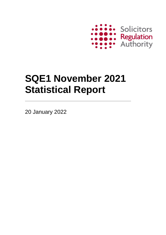

# **SQE1 November 2021 Statistical Report**

20 January 2022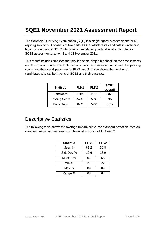## **SQE1 November 2021 Assessment Report**

The Solicitors Qualifying Examination (SQE) is a single rigorous assessment for all aspiring solicitors. It consists of two parts: SQE1, which tests candidates' functioning legal knowledge and SQE2 which tests candidates' practical legal skills. The first SQE1 assessments ran on 8 and 11 November 2021.

This report includes statistics that provide some simple feedback on the assessments and their performance. The table below shows the number of candidates, the passing score, and the overall pass rate for FLK1 and 2. It also shows the number of candidates who sat both parts of SQE1 and their pass rate.

| <b>Statistic</b>     | FLK1 | FLK <sub>2</sub> | SQE1<br>overall |
|----------------------|------|------------------|-----------------|
| Candidate            | 1084 | 1078             | 1073            |
| <b>Passing Score</b> | 57%  | 56%              | NA              |
| Pass Rate            | 67%  | 54%              | 53%             |

#### Descriptive Statistics

The following table shows the average (mean) score, the standard deviation, median, minimum, maximum and range of observed scores for FLK1 and 2.

| <b>Statistic</b> | FLK1 | FLK <sub>2</sub> |
|------------------|------|------------------|
| Mean %           | 61.2 | 56.8             |
| Std. Dev %       | 12.6 | 13.9             |
| Median %         | 62   | 58               |
| Min %            | 21   | 22               |
| Max %            | 89   | 89               |
| Range %          | 68   | 67               |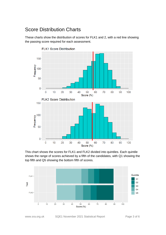#### Score Distribution Charts

These charts show the distribution of scores for FLK1 and 2, with a red line showing the passing score required for each assessment.



This chart shows the scores for FLK1 and FLK2 divided into quintiles. Each quintile shows the range of scores achieved by a fifth of the candidates, with Q1 showing the top fifth and Q5 showing the bottom fifth of scores.



www.sra.org.uk SQE1 November 2021 Statistical Report Page 3 of 6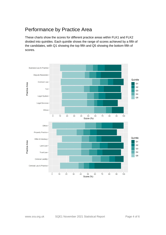#### Performance by Practice Area

These charts show the scores for different practice areas within FLK1 and FLK2 divided into quintiles. Each quintile shows the range of scores achieved by a fifth of the candidates, with Q1 showing the top fifth and Q5 showing the bottom fifth of scores.

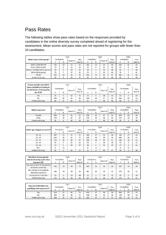### Pass Rates

The following tables show pass rates based on the responses provided by candidates in the online diversity survey completed ahead of registering for the assessment. Mean scores and pass rates are not reported for groups with fewer than 10 candidates.

|                                |     |                   | FLK1   |        |     |            | FLK2   |        | SQE1 |                   |        |
|--------------------------------|-----|-------------------|--------|--------|-----|------------|--------|--------|------|-------------------|--------|
| What is your ethnic group?     |     | <b>Candidates</b> | Mean % | Pass   |     | Candidates | Mean % | Pass   |      | <b>Candidates</b> | Pass   |
|                                | n   | %                 |        | Rate % | n   | %          |        | Rate % | n    | %                 | Rate % |
| Asian / Asian British          | 343 | 32                | 57     | 53     | 342 | 32         | 53     | 44     | 340  | 32                | 43     |
| <b>Black / Black British</b>   | 70  | 6                 | 57     | 54     | 67  | 6          | 53     | 39     | 67   | 6                 | 39     |
| Mixed / multiple ethnic groups | 50  | 5                 | 63     | 74     | 50  | 5.         | 59     | 64     | 50   | 5.                | 58     |
| Other ethnic group             | 75  | 7                 | 57     | 53     | 75  | 7          | 52     | 41     | 74   | 7                 | 41     |
| White                          | 464 | 43                | 65     | 79     | 461 | 43         | 61     | 67     | 460  | 43                | 66     |
| Prefer not to say              | 82  | 8                 | 63     | 74     | 83  | 8          | 56     | 48     | 82   | 8                 | 49     |
|                                |     |                   |        |        |     |            |        |        |      |                   |        |
| Do you consider yourself to    |     |                   | FLK1   |        |     |            | FLK2   |        |      | SQE1              |        |
| have a disability according to |     |                   |        |        |     |            |        |        |      |                   |        |
| the definition in the Equality |     | Candidates        | Mean % | Pass   |     | Candidates | Mean % | Pass   |      | Candidates        | Pass   |
| Act 2010?                      | n   | %                 |        | Rate % | n   | %          |        | Rate % | n    | %                 | Rate % |
| <b>Yes</b>                     | 55  | 5                 | 62     | 71     | 53  | 5.         | 58     | 55     | 53   | 5.                | 55     |
| No                             | 969 | 89                | 61     | 66     | 964 | 89         | 57     | 54     | 960  | 89                | 53     |
| Prefer not to say              | 60  | 6                 | 63     | 75     | 61  | 6          | 58     | 56     | 60   | 6                 | 57     |

|                   | FLK1 |            |        |        |     |                   | FLK2   | SQE1   |     |                   |        |
|-------------------|------|------------|--------|--------|-----|-------------------|--------|--------|-----|-------------------|--------|
| What is your sex? |      | Candidates | Mean % | Pass   |     | <b>Candidates</b> | Mean % | Pass   |     | <b>Candidates</b> | Pass   |
|                   | n    | %          |        | Rate % | n   | %                 |        | Rate % | n   | %                 | Rate % |
| Female            | 683  | 63         | 61     | 67     | 676 | 63                | 57     | 55     | 674 | 63                | 54     |
| Male              | 376  | 35         | 61     | 65     | 376 | 35                | 56     | 54     | 374 | 35                | 54     |
| Prefer not to say | 25   |            | 63     | 76     | 26  |                   | 59     | 46     | 25  |                   | 48     |

|                                | FLK1<br>Candidates |                |        |        |     |                | FLK2   |        | SQE1 |            |        |  |
|--------------------------------|--------------------|----------------|--------|--------|-----|----------------|--------|--------|------|------------|--------|--|
| Which age category are you in? |                    |                | Mean % | Pass   |     | Candidates     | Mean % | Pass   |      | Candidates | Pass   |  |
|                                | n                  | %              |        | Rate % | n   | %              |        | Rate % | n    | %          | Rate % |  |
| $16 - 24$                      | 187                | 17             | 57     | 55     | 182 | 17             | 55     | 46     | 182  | 17         | 45     |  |
| $25 - 34$                      | 629                | 58             | 63     | 72     | 628 | 58             | 58     | 59     | 626  | 58         | 57     |  |
| $35 - 44$                      | 172                | 16             | 60     | 64     | 169 | 16             | 55     | 51     | 169  | 16         | 51     |  |
| $45 - 54$                      | 55                 | 5              | 61     | 64     | 56  | 5              | 56     | 50     | 55   | 5          | 51     |  |
| $55 - 64$                      | 17                 | $\overline{2}$ | 58     | 47     | 18  | $\overline{2}$ | 55     | 39     | 17   | 2          | 41     |  |
| $65+$                          | 4                  | $\leq$ 1       | -      | ۰      | 4   | $\leq$ 1       | -      | ۰      | 4    | $\leq$ 1   |        |  |
| Prefer not to say              | 20                 | $\overline{2}$ | 65     | 75     | 21  |                | 60     | 57     | 20   |            | 60     |  |

| Did either of your parents                            |                   |    | FLK1   |        |     |                   | FLK2   |        | SQE1       |    |        |
|-------------------------------------------------------|-------------------|----|--------|--------|-----|-------------------|--------|--------|------------|----|--------|
| attend university by the time                         | <b>Candidates</b> |    |        | Pass   |     | <b>Candidates</b> |        | Pass   | Candidates |    | Pass   |
| you were 18?                                          | n                 | %  | Mean % | Rate % | n   | %                 | Mean % | Rate % | n          | %  | Rate % |
| Yes, one or both of my parents<br>attended university | 462               | 43 | 63     | 72     | 455 | 42                | 59     | 60     | 454        | 42 | 58     |
| No, neither of my parents<br>attended university      | 480               | 44 | 60     | 63     | 481 | 45                | 56     | 51     | 478        | 45 | 51     |
| Do not know / not sure                                | 25                |    | 55     | 44     | 25  |                   | 50     | 32     | 25         |    | 28     |
| Prefer not to say                                     | 117               | 11 | 61     | 66     | 117 | 11                | 56     | 50     | 116        |    | 51     |

|                             | FLK1 |                      |    |        |     |            | FLK2   |        | SQE1              |    |        |
|-----------------------------|------|----------------------|----|--------|-----|------------|--------|--------|-------------------|----|--------|
| Have you undertaken any     |      | Candidates<br>Mean % |    | Pass   |     | Candidates | Mean % | Pass   | <b>Candidates</b> |    | Pass   |
| qualifying work experience? | n    | %                    |    | Rate % | n   | %          |        | Rate % | n                 | %  | Rate % |
| Yes                         | 619  | 57                   | 62 | 71     | 619 | 57         | 58     | 58     | 616               | 57 | 57     |
| No                          | 199  | 18                   | 58 | 53     | 194 | 18         | 54     | 46     | 194               | 18 | 43     |
| Prefer not to say           | 266  | 25                   | 63 | 68     | 265 | 25         | 57     | 53     | 263               | 25 | 53     |